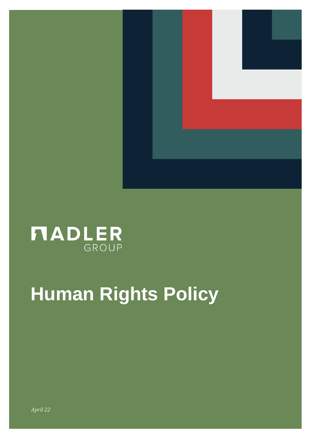

# **NADLER**

## **Human Rights Policy**

*April 22*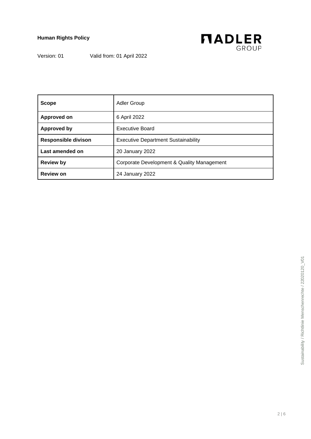

Version: 01 Valid from: 01 April 2022

| <b>Scope</b>               | <b>Adler Group</b>                         |
|----------------------------|--------------------------------------------|
| Approved on                | 6 April 2022                               |
| <b>Approved by</b>         | <b>Executive Board</b>                     |
| <b>Responsible divison</b> | <b>Executive Department Sustainability</b> |
| Last amended on            | 20 January 2022                            |
| <b>Review by</b>           | Corporate Development & Quality Management |
| <b>Review on</b>           | 24 January 2022                            |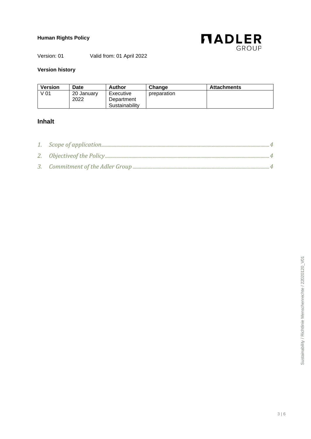

Version: 01 Valid from: 01 April 2022

## **Version history**

| <b>Version</b>  | Date               | Author                                    | Change      | <b>Attachments</b> |
|-----------------|--------------------|-------------------------------------------|-------------|--------------------|
| V <sub>01</sub> | 20 January<br>2022 | Executive<br>Department<br>Sustainability | preparation |                    |

## **Inhalt**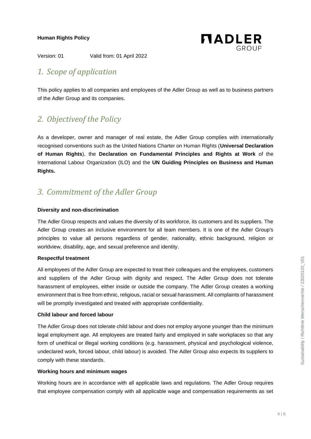

Version: 01 Valid from: 01 April 2022

## <span id="page-3-0"></span>*1. Scope of application*

This policy applies to all companies and employees of the Adler Group as well as to business partners of the Adler Group and its companies.

## <span id="page-3-1"></span>*2. Objectiveof the Policy*

As a developer, owner and manager of real estate, the Adler Group complies with internationally recognised conventions such as the United Nations Charter on Human Rights (**Universal Declaration of Human Rights**), the **Declaration on Fundamental Principles and Rights at Work** of the International Labour Organization (ILO) and the **UN Guiding Principles on Business and Human Rights.**

## <span id="page-3-2"></span>*3. Commitment of the Adler Group*

## **Diversity and non-discrimination**

The Adler Group respects and values the diversity of its workforce, its customers and its suppliers. The Adler Group creates an inclusive environment for all team members. It is one of the Adler Group's principles to value all persons regardless of gender, nationality, ethnic background, religion or worldview, disability, age, and sexual preference and identity.

#### **Respectful treatment**

All employees of the Adler Group are expected to treat their colleagues and the employees, customers and suppliers of the Adler Group with dignity and respect. The Adler Group does not tolerate harassment of employees, either inside or outside the company. The Adler Group creates a working environment that is free from ethnic, religious, racial or sexual harassment. All complaints of harassment will be promptly investigated and treated with appropriate confidentiality.

#### **Child labour and forced labour**

The Adler Group does not tolerate child labour and does not employ anyone younger than the minimum legal employment age. All employees are treated fairly and employed in safe workplaces so that any form of unethical or illegal working conditions (e.g. harassment, physical and psychological violence, undeclared work, forced labour, child labour) is avoided. The Adler Group also expects its suppliers to comply with these standards.

#### **Working hours and minimum wages**

Working hours are in accordance with all applicable laws and regulations. The Adler Group requires that employee compensation comply with all applicable wage and compensation requirements as set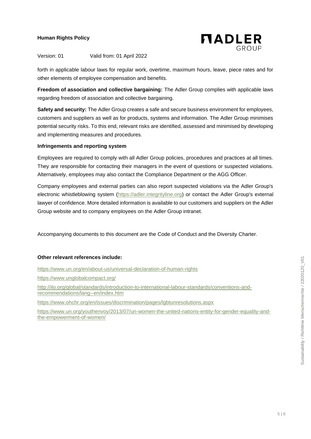

Version: 01 Valid from: 01 April 2022

forth in applicable labour laws for regular work, overtime, maximum hours, leave, piece rates and for other elements of employee compensation and benefits.

**Freedom of association and collective bargaining:** The Adler Group complies with applicable laws regarding freedom of association and collective bargaining.

**Safety and security:** The Adler Group creates a safe and secure business environment for employees, customers and suppliers as well as for products, systems and information. The Adler Group minimises potential security risks. To this end, relevant risks are identified, assessed and minimised by developing and implementing measures and procedures.

#### **Infringements and reporting system**

Employees are required to comply with all Adler Group policies, procedures and practices at all times. They are responsible for contacting their managers in the event of questions or suspected violations. Alternatively, employees may also contact the Compliance Department or the AGG Officer.

Company employees and external parties can also report suspected violations via the Adler Group's electronic whistleblowing system [\(https://adler.integrityline.org\)](https://adler.integrityline.org/) or contact the Adler Group's external lawyer of confidence. More detailed information is available to our customers and suppliers on the Adler Group website and to company employees on the Adler Group intranet.

Accompanying documents to this document are the Code of Conduct and the Diversity Charter.

## **Other relevant references include:**

https://www.un.org/en/about-us/universal-declaration-of-human-rights

https://www.unglobalcompact.org/

http://ilo.org/global/standards/introduction-to-international-labour-standards/conventions-andrecommendations/lang--en/index.htm

https://www.ohchr.org/en/issues/discrimination/pages/lgbtunresolutions.aspx

https://www.un.org/youthenvoy/2013/07/un-women-the-united-nations-entity-for-gender-equality-andthe-empowerment-of-women/